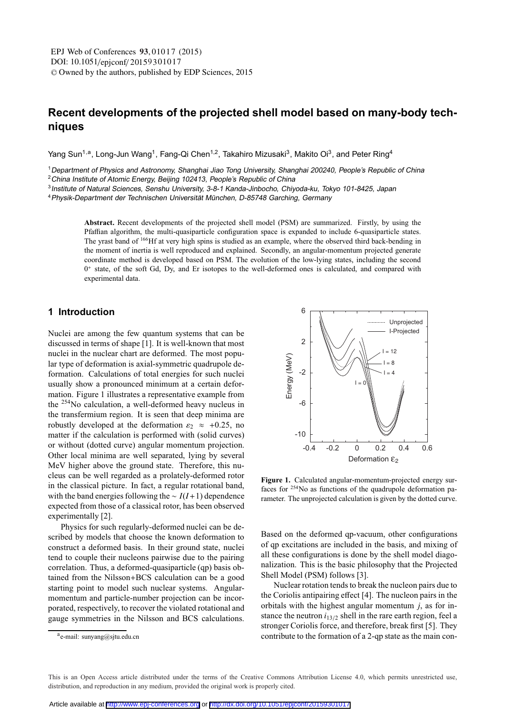# **Recent developments of the projected shell model based on many-body techniques**

Yang Sun<sup>1,a</sup>, Long-Jun Wang<sup>1</sup>, Fang-Qi Chen<sup>1,2</sup>, Takahiro Mizusaki<sup>3</sup>, Makito Oi<sup>3</sup>, and Peter Ring<sup>4</sup>

<sup>1</sup>Department of Physics and Astronomy, Shanghai Jiao Tong University, Shanghai 200240, People's Republic of China <sup>2</sup> China Institute of Atomic Energy, Beijing 102413, People's Republic of China

<sup>3</sup>Institute of Natural Sciences, Senshu University, 3-8-1 Kanda-Jinbocho, Chiyoda-ku, Tokyo 101-8425, Japan

<sup>4</sup>Physik-Department der Technischen Universität München, D-85748 Garching, Germany

**Abstract.** Recent developments of the projected shell model (PSM) are summarized. Firstly, by using the Pfaffian algorithm, the multi-quasiparticle configuration space is expanded to include 6-quasiparticle states. The yrast band of 166Hf at very high spins is studied as an example, where the observed third back-bending in the moment of inertia is well reproduced and explained. Secondly, an angular-momentum projected generate coordinate method is developed based on PSM. The evolution of the low-lying states, including the second  $0^+$  state, of the soft Gd, Dy, and Er isotopes to the well-deformed ones is calculated, and compared with experimental data.

# **1 Introduction**

Nuclei are among the few quantum systems that can be discussed in terms of shape [1]. It is well-known that most nuclei in the nuclear chart are deformed. The most popular type of deformation is axial-symmetric quadrupole deformation. Calculations of total energies for such nuclei usually show a pronounced minimum at a certain deformation. Figure 1 illustrates a representative example from the 254No calculation, a well-deformed heavy nucleus in the transfermium region. It is seen that deep minima are robustly developed at the deformation  $\varepsilon_2 \approx +0.25$ , no matter if the calculation is performed with (solid curves) or without (dotted curve) angular momentum projection. Other local minima are well separated, lying by several MeV higher above the ground state. Therefore, this nucleus can be well regarded as a prolately-deformed rotor in the classical picture. In fact, a regular rotational band, with the band energies following the ∼ *I*(*I*+1) dependence expected from those of a classical rotor, has been observed experimentally [2].

Physics for such regularly-deformed nuclei can be described by models that choose the known deformation to construct a deformed basis. In their ground state, nuclei tend to couple their nucleons pairwise due to the pairing correlation. Thus, a deformed-quasiparticle (qp) basis obtained from the Nilsson+BCS calculation can be a good starting point to model such nuclear systems. Angularmomentum and particle-number projection can be incorporated, respectively, to recover the violated rotational and gauge symmetries in the Nilsson and BCS calculations.



**Figure 1.** Calculated angular-momentum-projected energy surfaces for  $254$ No as functions of the quadrupole deformation parameter. The unprojected calculation is given by the dotted curve.

Based on the deformed qp-vacuum, other configurations of qp excitations are included in the basis, and mixing of all these configurations is done by the shell model diagonalization. This is the basic philosophy that the Projected Shell Model (PSM) follows [3].

Nuclear rotation tends to break the nucleon pairs due to the Coriolis antipairing effect [4]. The nucleon pairs in the orbitals with the highest angular momentum *j*, as for instance the neutron  $i_{13/2}$  shell in the rare earth region, feel a stronger Coriolis force, and therefore, break first [5]. They contribute to the formation of a 2-qp state as the main con-

 $a$ e-mail: sunyang@sjtu.edu.cn

This is an Open Access article distributed under the terms of the Creative Commons Attribution License 4.0, which permits unrestricted use. distribution, and reproduction in any medium, provided the original work is properly cited.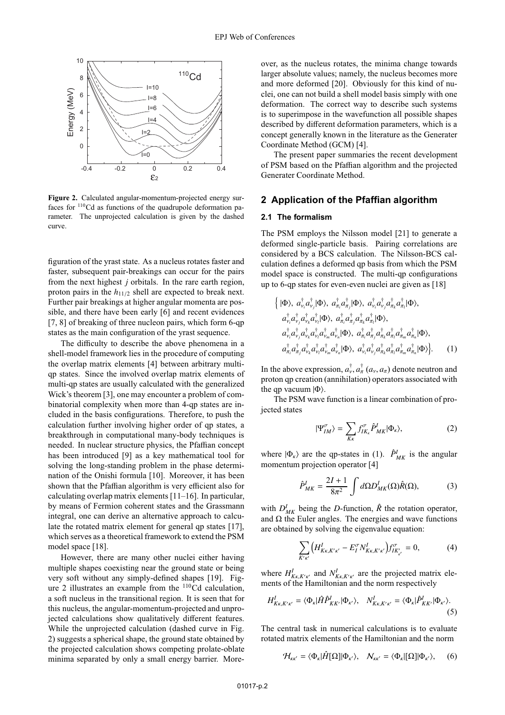

**Figure 2.** Calculated angular-momentum-projected energy surfaces for 110Cd as functions of the quadrupole deformation parameter. The unprojected calculation is given by the dashed curve.

figuration of the yrast state. As a nucleus rotates faster and faster, subsequent pair-breakings can occur for the pairs from the next highest *j* orbitals. In the rare earth region, proton pairs in the  $h_{11/2}$  shell are expected to break next. Further pair breakings at higher angular momenta are possible, and there have been early [6] and recent evidences [7, 8] of breaking of three nucleon pairs, which form 6-qp states as the main configuration of the yrast sequence.

The difficulty to describe the above phenomena in a shell-model framework lies in the procedure of computing the overlap matrix elements [4] between arbitrary multiqp states. Since the involved overlap matrix elements of multi-qp states are usually calculated with the generalized Wick's theorem [3], one may encounter a problem of combinatorial complexity when more than 4-qp states are included in the basis configurations. Therefore, to push the calculation further involving higher order of qp states, a breakthrough in computational many-body techniques is needed. In nuclear structure physics, the Pfaffian concept has been introduced [9] as a key mathematical tool for solving the long-standing problem in the phase determination of the Onishi formula [10]. Moreover, it has been shown that the Pfaffian algorithm is very efficient also for calculating overlap matrix elements [11–16]. In particular, by means of Fermion coherent states and the Grassmann integral, one can derive an alternative approach to calculate the rotated matrix element for general qp states [17], which serves as a theoretical framework to extend the PSM model space [18].

However, there are many other nuclei either having multiple shapes coexisting near the ground state or being very soft without any simply-defined shapes [19]. Figure 2 illustrates an example from the <sup>110</sup>Cd calculation, a soft nucleus in the transitional region. It is seen that for this nucleus, the angular-momentum-projected and unprojected calculations show qualitatively different features. While the unprojected calculation (dashed curve in Fig. 2) suggests a spherical shape, the ground state obtained by the projected calculation shows competing prolate-oblate minima separated by only a small energy barrier. Moreover, as the nucleus rotates, the minima change towards larger absolute values; namely, the nucleus becomes more and more deformed [20]. Obviously for this kind of nuclei, one can not build a shell model basis simply with one deformation. The correct way to describe such systems is to superimpose in the wavefunction all possible shapes described by different deformation parameters, which is a concept generally known in the literature as the Generater Coordinate Method (GCM) [4].

The present paper summaries the recent development of PSM based on the Pfaffian algorithm and the projected Generater Coordinate Method.

# **2 Application of the Pfaffian algorithm**

#### **2.1 The formalism**

The PSM employs the Nilsson model [21] to generate a deformed single-particle basis. Pairing correlations are considered by a BCS calculation. The Nilsson-BCS calculation defines a deformed qp basis from which the PSM model space is constructed. The multi-qp configurations up to 6-qp states for even-even nuclei are given as [18]

$$
\begin{aligned}\n\left\{ |\Phi\rangle, \ a_{\nu_i}^\dagger a_{\nu_j}^\dagger |\Phi\rangle, \ a_{\pi_i}^\dagger a_{\pi_j}^\dagger |\Phi\rangle, \ a_{\nu_i}^\dagger a_{\nu_j}^\dagger a_{\pi_k}^\dagger a_{\pi_l}^\dagger |\Phi\rangle, \\
a_{\nu_i}^\dagger a_{\nu_j}^\dagger a_{\nu_k}^\dagger a_{\nu_l}^\dagger |\Phi\rangle, \ a_{\pi_i}^\dagger a_{\pi_i}^\dagger a_{\pi_i}^\dagger a_{\pi_i}^\dagger a_{\pi_i}^\dagger |\Phi\rangle, \\
a_{\nu_i}^\dagger a_{\nu_j}^\dagger a_{\nu_k}^\dagger a_{\nu_m}^\dagger a_{\nu_m}^\dagger |\Phi\rangle, \ a_{\pi_i}^\dagger a_{\pi_i}^\dagger a_{\pi_i}^\dagger a_{\pi_i}^\dagger a_{\pi_i}^\dagger a_{\pi_i}^\dagger |\Phi\rangle, \\
a_{\pi_i}^\dagger a_{\pi_j}^\dagger a_{\nu_k}^\dagger a_{\nu_k}^\dagger a_{\nu_k}^\dagger |\Phi\rangle, \ a_{\nu_i}^\dagger a_{\nu_j}^\dagger a_{\pi_k}^\dagger a_{\pi_i}^\dagger a_{\pi_i}^\dagger a_{\pi_i}^\dagger |\Phi\rangle\right\}.\n\end{aligned} \tag{1}
$$

In the above expression,  $a_{\nu}^{\dagger}$ ,  $a_{\pi}^{\dagger}$  ( $a_{\nu}$ ,  $a_{\pi}$ ) denote neutron and proton qp creation (annihilation) operators associated with the qp vacuum  $|\Phi\rangle$ .

The PSM wave function is a linear combination of projected states

$$
|\Psi_{IM}^{\sigma}\rangle = \sum_{K\kappa} f_{IK\kappa}^{\sigma} \hat{P}_{MK}^{I} |\Phi_{\kappa}\rangle, \tag{2}
$$

where  $|\Phi_{k}\rangle$  are the qp-states in (1).  $\hat{P}^{I}_{MK}$  is the angular momentum projection operator [4]

$$
\hat{P}_{MK}^{I} = \frac{2I + 1}{8\pi^2} \int d\Omega D_{MK}^{I}(\Omega) \hat{R}(\Omega),
$$
 (3)

with  $D_{MK}^I$  being the *D*-function,  $\hat{R}$  the rotation operator, and  $\Omega$  the Euler angles. The energies and wave functions are obtained by solving the eigenvalue equation:

$$
\sum_{K'\kappa'} \left( H^I_{K\kappa, K'\kappa'} - E_I^{\sigma} N^I_{K\kappa, K'\kappa'} \right) f^{\sigma}_{IK'_{\kappa'}} = 0, \tag{4}
$$

where  $H_{K_{\kappa}, K' \kappa'}^I$  and  $N_{K_{\kappa}, K' \kappa'}^I$  are the projected matrix elements of the Hamiltonian and the norm respectively

$$
H_{K\kappa,K'\kappa'}^{I} = \langle \Phi_{\kappa} | \hat{H} \hat{P}_{KK'}^{I} | \Phi_{\kappa'} \rangle, \quad N_{K\kappa,K'\kappa'}^{I} = \langle \Phi_{\kappa} | \hat{P}_{KK'}^{I} | \Phi_{\kappa'} \rangle.
$$
\n(5)

The central task in numerical calculations is to evaluate rotated matrix elements of the Hamiltonian and the norm

$$
\mathcal{H}_{\kappa\kappa'} = \langle \Phi_{\kappa} | \hat{H}[\Omega] | \Phi_{\kappa'} \rangle, \quad \mathcal{N}_{\kappa\kappa'} = \langle \Phi_{\kappa} | [\Omega] | \Phi_{\kappa'} \rangle, \quad (6)
$$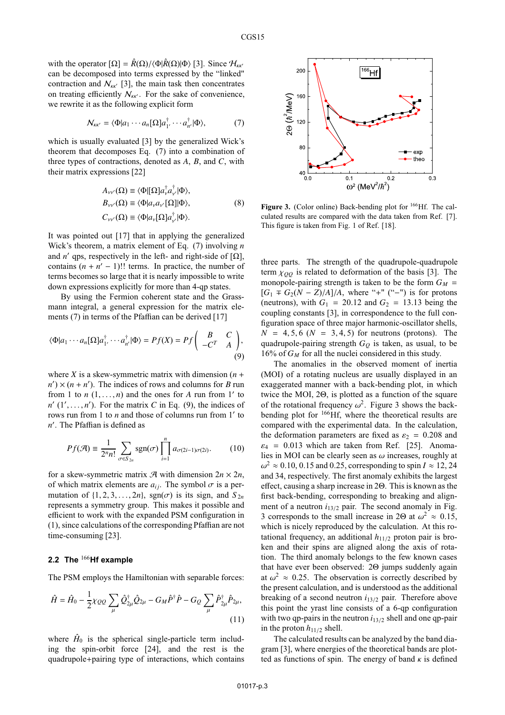with the operator  $[\Omega] = \hat{R}(\Omega)/\langle \Phi | \hat{R}(\Omega) | \Phi \rangle$  [3]. Since  $\mathcal{H}_{\kappa \kappa'}$ can be decomposed into terms expressed by the "linked" contraction and  $N_{kk'}$  [3], the main task then concentrates on treating efficiently  $N_{kk'}$ . For the sake of convenience, we rewrite it as the following explicit form

$$
\mathcal{N}_{\kappa\kappa'} = \langle \Phi | a_1 \cdots a_n [\Omega] a_1^{\dagger}, \cdots a_{n'}^{\dagger} | \Phi \rangle, \tag{7}
$$

which is usually evaluated [3] by the generalized Wick's theorem that decomposes Eq. (7) into a combination of three types of contractions, denoted as *A*, *B*, and *C*, with their matrix expressions [22]

$$
A_{\nu\nu'}(\Omega) \equiv \langle \Phi | [\Omega] a_{\nu}^{\dagger} a_{\nu'}^{\dagger} | \Phi \rangle, B_{\nu\nu'}(\Omega) \equiv \langle \Phi | a_{\nu} a_{\nu'} [\Omega] | \Phi \rangle, C_{\nu\nu'}(\Omega) \equiv \langle \Phi | a_{\nu} [\Omega] a_{\nu'}^{\dagger} | \Phi \rangle.
$$
 (8)

It was pointed out [17] that in applying the generalized Wick's theorem, a matrix element of Eq. (7) involving *n* and *n'* qps, respectively in the left- and right-side of  $[\Omega]$ , contains  $(n + n' - 1)$ !! terms. In practice, the number of terms becomes so large that it is nearly impossible to write down expressions explicitly for more than 4-qp states.

By using the Fermion coherent state and the Grassmann integral, a general expression for the matrix elements (7) in terms of the Pfaffian can be derived [17]

$$
\langle \Phi | a_1 \cdots a_n [\Omega] a_1^{\dagger} \cdots a_{n'}^{\dagger} | \Phi \rangle = Pf(X) = Pf \begin{pmatrix} B & C \\ -C^T & A \end{pmatrix},
$$
\n(9)

where *X* is a skew-symmetric matrix with dimension  $(n +$  $n'$   $\times$   $(n + n')$ . The indices of rows and columns for *B* run from 1 to  $n$  (1,..., *n*) and the ones for *A* run from 1' to  $n'$  (1', ..., *n*'). For the matrix *C* in Eq. (9), the indices of rows run from 1 to *n* and those of columns run from 1' to *n* . The Pfaffian is defined as

$$
Pf(\mathcal{A}) \equiv \frac{1}{2^n n!} \sum_{\sigma \in S_{2n}} \text{sgn}(\sigma) \prod_{i=1}^n a_{\sigma(2i-1)\sigma(2i)}.
$$
 (10)

for a skew-symmetric matrix  $\mathcal{A}$  with dimension  $2n \times 2n$ , of which matrix elements are  $a_{ij}$ . The symbol  $\sigma$  is a permutation of  $\{1, 2, 3, \ldots, 2n\}$ , sgn( $\sigma$ ) is its sign, and  $S_{2n}$ represents a symmetry group. This makes it possible and efficient to work with the expanded PSM configuration in (1), since calculations of the corresponding Pfaffian are not time-consuming [23].

### **2.2 The** <sup>166</sup>**Hf example**

The PSM employs the Hamiltonian with separable forces:

$$
\hat{H} = \hat{H}_0 - \frac{1}{2}\chi_{QQ} \sum_{\mu} \hat{Q}_{2\mu}^{\dagger} \hat{Q}_{2\mu} - G_M \hat{P}^{\dagger} \hat{P} - G_Q \sum_{\mu} \hat{P}_{2\mu}^{\dagger} \hat{P}_{2\mu},
$$
\n(11)

where  $\hat{H}_0$  is the spherical single-particle term including the spin-orbit force [24], and the rest is the quadrupole+pairing type of interactions, which contains



**Figure 3.** (Color online) Back-bending plot for <sup>166</sup>Hf. The calculated results are compared with the data taken from Ref. [7]. This figure is taken from Fig. 1 of Ref. [18].

three parts. The strength of the quadrupole-quadrupole term  $\chi_{OO}$  is related to deformation of the basis [3]. The monopole-pairing strength is taken to be the form  $G_M$  =  $[G_1$  ∓  $G_2(N - Z)/A]/A$ , where "+" ("−") is for protons (neutrons), with  $G_1 = 20.12$  and  $G_2 = 13.13$  being the coupling constants [3], in correspondence to the full configuration space of three major harmonic-oscillator shells,  $N = 4, 5, 6$  ( $N = 3, 4, 5$ ) for neutrons (protons). The quadrupole-pairing strength  $G_Q$  is taken, as usual, to be 16% of *GM* for all the nuclei considered in this study.

The anomalies in the observed moment of inertia (MOI) of a rotating nucleus are usually displayed in an exaggerated manner with a back-bending plot, in which twice the MOI, 2Θ, is plotted as a function of the square of the rotational frequency  $\omega^2$ . Figure 3 shows the backbending plot for 166Hf, where the theoretical results are compared with the experimental data. In the calculation, the deformation parameters are fixed as  $\varepsilon_2 = 0.208$  and  $\varepsilon_4$  = 0.013 which are taken from Ref. [25]. Anomalies in MOI can be clearly seen as  $\omega$  increases, roughly at  $\omega^2 \approx 0.10, 0.15$  and 0.25, corresponding to spin  $I \approx 12, 24$ and 34, respectively. The first anomaly exhibits the largest effect, causing a sharp increase in 2Θ. This is known as the first back-bending, corresponding to breaking and alignment of a neutron  $i_{13/2}$  pair. The second anomaly in Fig. 3 corresponds to the small increase in 2 $\Theta$  at  $\omega^2 \approx 0.15$ , which is nicely reproduced by the calculation. At this rotational frequency, an additional  $h_{11/2}$  proton pair is broken and their spins are aligned along the axis of rotation. The third anomaly belongs to the few known cases that have ever been observed: 2Θ jumps suddenly again at  $\omega^2 \approx 0.25$ . The observation is correctly described by the present calculation, and is understood as the additional breaking of a second neutron *i*13/<sup>2</sup> pair. Therefore above this point the yrast line consists of a 6-qp configuration with two qp-pairs in the neutron *i*13/<sup>2</sup> shell and one qp-pair in the proton  $h_{11/2}$  shell.

The calculated results can be analyzed by the band diagram [3], where energies of the theoretical bands are plotted as functions of spin. The energy of band  $\kappa$  is defined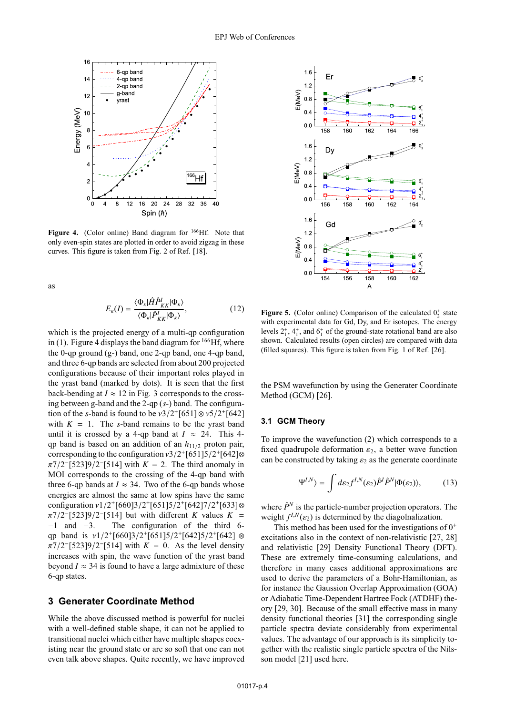

Figure 4. (Color online) Band diagram for <sup>166</sup>Hf. Note that only even-spin states are plotted in order to avoid zigzag in these curves. This figure is taken from Fig. 2 of Ref. [18].

as

$$
E_{\kappa}(I) = \frac{\langle \Phi_{\kappa} | \hat{H} \hat{P}^{I}_{KK} | \Phi_{\kappa} \rangle}{\langle \Phi_{\kappa} | \hat{P}^{I}_{KK} | \Phi_{\kappa} \rangle},
$$
(12)

which is the projected energy of a multi-qp configuration in (1). Figure 4 displays the band diagram for  $^{166}$ Hf, where the 0-qp ground (g-) band, one 2-qp band, one 4-qp band, and three 6-qp bands are selected from about 200 projected configurations because of their important roles played in the yrast band (marked by dots). It is seen that the first back-bending at  $I \approx 12$  in Fig. 3 corresponds to the crossing between g-band and the 2-qp (*s*-) band. The configuration of the *s*-band is found to be  $v3/2+[651] \otimes v5/2+[642]$ with  $K = 1$ . The *s*-band remains to be the yrast band until it is crossed by a 4-qp band at  $I \approx 24$ . This 4qp band is based on an addition of an  $h_{11/2}$  proton pair, corresponding to the configuration  $\nu$ 3/2<sup>+</sup>[651]5/2<sup>+</sup>[642]⊗  $\pi$ 7/2<sup>-</sup>[523]9/2<sup>-</sup>[514] with *K* = 2. The third anomaly in MOI corresponds to the crossing of the 4-qp band with three 6-qp bands at  $I \approx 34$ . Two of the 6-qp bands whose energies are almost the same at low spins have the same configuration  $v1/2+[660]3/2+[651]5/2+[642]7/2+[633]$ ⊗  $\pi$ 7/2<sup>-</sup>[523]9/2<sup>-</sup>[514] but with different *K* values *K* = −1 and −3. The configuration of the third 6 qp band is  $v1/2+[660]3/2+[651]5/2+[642]5/2+[642]$  ⊗  $\pi$ 7/2<sup>-</sup>[523]9/2<sup>-</sup>[514] with *K* = 0. As the level density increases with spin, the wave function of the yrast band beyond  $I \approx 34$  is found to have a large admixture of these 6-qp states.

# **3 Generater Coordinate Method**

While the above discussed method is powerful for nuclei with a well-defined stable shape, it can not be applied to transitional nuclei which either have multiple shapes coexisting near the ground state or are so soft that one can not even talk above shapes. Quite recently, we have improved



**Figure 5.** (Color online) Comparison of the calculated  $0^+$  state<br>with experimental data for Gd. Dy, and Er isotopes. The energy with experimental data for Gd, Dy, and Er isotopes. The energy levels  $2^+_1$ ,  $4^+_1$ , and  $6^+_1$  of the ground-state rotational band are also shown. Calculated results (open circles) are compared with data (filled squares). This figure is taken from Fig. 1 of Ref. [26].

the PSM wavefunction by using the Generater Coordinate Method (GCM) [26].

#### **3.1 GCM Theory**

To improve the wavefunction (2) which corresponds to a fixed quadrupole deformation  $\varepsilon_2$ , a better wave function can be constructed by taking  $\varepsilon_2$  as the generate coordinate

$$
|\Psi^{I,N}\rangle = \int d\varepsilon_2 f^{I,N}(\varepsilon_2) \hat{P}^I \hat{P}^N |\Phi(\varepsilon_2)\rangle, \tag{13}
$$

where  $\hat{P}^N$  is the particle-number projection operators. The weight  $f^{I,N}(\varepsilon_2)$  is determined by the diagolnalization.

This method has been used for the investigations of  $0^+$ excitations also in the context of non-relativistic [27, 28] and relativistic [29] Density Functional Theory (DFT). These are extremely time-consuming calculations, and therefore in many cases additional approximations are used to derive the parameters of a Bohr-Hamiltonian, as for instance the Gaussion Overlap Approximation (GOA) or Adiabatic Time-Dependent Hartree Fock (ATDHF) theory [29, 30]. Because of the small effective mass in many density functional theories [31] the corresponding single particle spectra deviate considerably from experimental values. The advantage of our approach is its simplicity together with the realistic single particle spectra of the Nilsson model [21] used here.